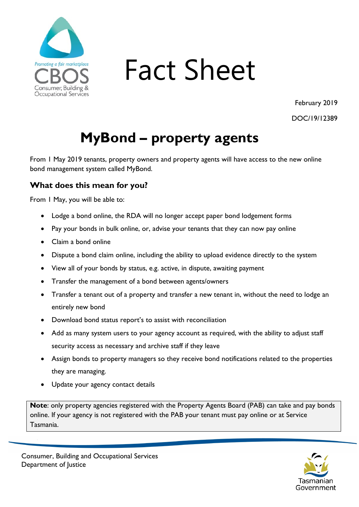

# Fact Sheet

February 2019

DOC/19/12389

## **MyBond – property agents**

From 1 May 2019 tenants, property owners and property agents will have access to the new online bond management system called MyBond.

### **What does this mean for you?**

From 1 May, you will be able to:

- Lodge a bond online, the RDA will no longer accept paper bond lodgement forms
- Pay your bonds in bulk online, or, advise your tenants that they can now pay online
- Claim a bond online
- Dispute a bond claim online, including the ability to upload evidence directly to the system
- View all of your bonds by status, e.g. active, in dispute, awaiting payment
- Transfer the management of a bond between agents/owners
- Transfer a tenant out of a property and transfer a new tenant in, without the need to lodge an entirely new bond
- Download bond status report's to assist with reconciliation
- Add as many system users to your agency account as required, with the ability to adjust staff security access as necessary and archive staff if they leave
- Assign bonds to property managers so they receive bond notifications related to the properties they are managing.
- Update your agency contact details

**Note**: only property agencies registered with the Property Agents Board (PAB) can take and pay bonds online. If your agency is not registered with the PAB your tenant must pay online or at Service Tasmania.